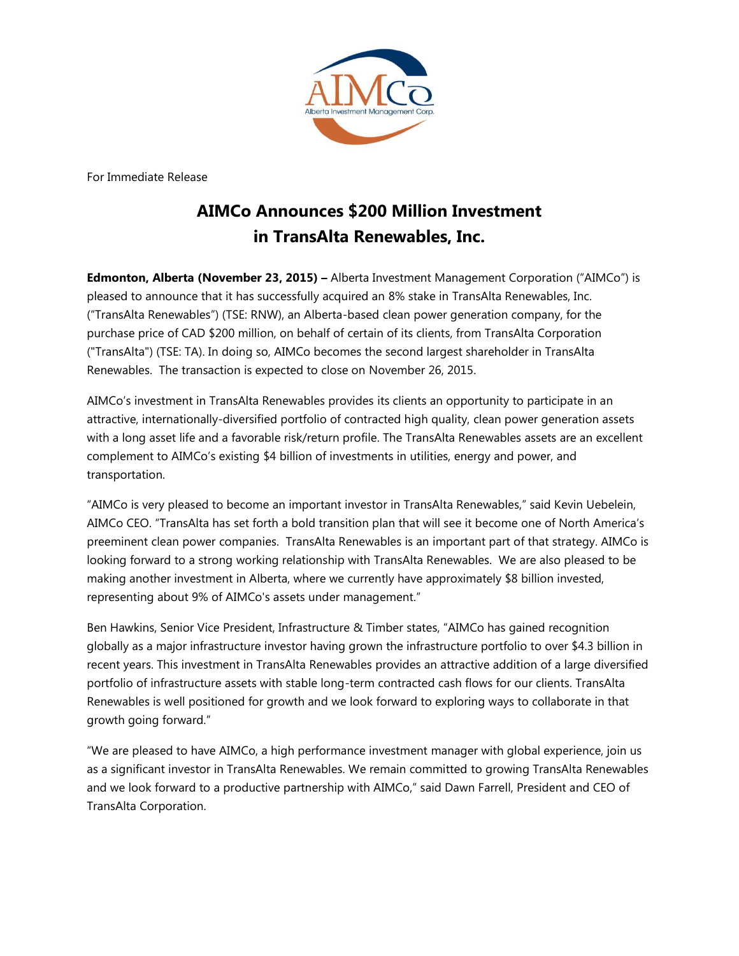

For Immediate Release

## **AIMCo Announces \$200 Million Investment in TransAlta Renewables, Inc.**

**Edmonton, Alberta (November 23, 2015) –** Alberta Investment Management Corporation ("AIMCo") is pleased to announce that it has successfully acquired an 8% stake in TransAlta Renewables, Inc. ("TransAlta Renewables") (TSE: RNW), an Alberta-based clean power generation company, for the purchase price of CAD \$200 million, on behalf of certain of its clients, from TransAlta Corporation ("TransAlta") (TSE: TA). In doing so, AIMCo becomes the second largest shareholder in TransAlta Renewables. The transaction is expected to close on November 26, 2015.

AIMCo's investment in TransAlta Renewables provides its clients an opportunity to participate in an attractive, internationally-diversified portfolio of contracted high quality, clean power generation assets with a long asset life and a favorable risk/return profile. The TransAlta Renewables assets are an excellent complement to AIMCo's existing \$4 billion of investments in utilities, energy and power, and transportation.

"AIMCo is very pleased to become an important investor in TransAlta Renewables," said Kevin Uebelein, AIMCo CEO. "TransAlta has set forth a bold transition plan that will see it become one of North America's preeminent clean power companies. TransAlta Renewables is an important part of that strategy. AIMCo is looking forward to a strong working relationship with TransAlta Renewables. We are also pleased to be making another investment in Alberta, where we currently have approximately \$8 billion invested, representing about 9% of AIMCo's assets under management."

Ben Hawkins, Senior Vice President, Infrastructure & Timber states, "AIMCo has gained recognition globally as a major infrastructure investor having grown the infrastructure portfolio to over \$4.3 billion in recent years. This investment in TransAlta Renewables provides an attractive addition of a large diversified portfolio of infrastructure assets with stable long-term contracted cash flows for our clients. TransAlta Renewables is well positioned for growth and we look forward to exploring ways to collaborate in that growth going forward."

"We are pleased to have AIMCo, a high performance investment manager with global experience, join us as a significant investor in TransAlta Renewables. We remain committed to growing TransAlta Renewables and we look forward to a productive partnership with AIMCo," said Dawn Farrell, President and CEO of TransAlta Corporation.